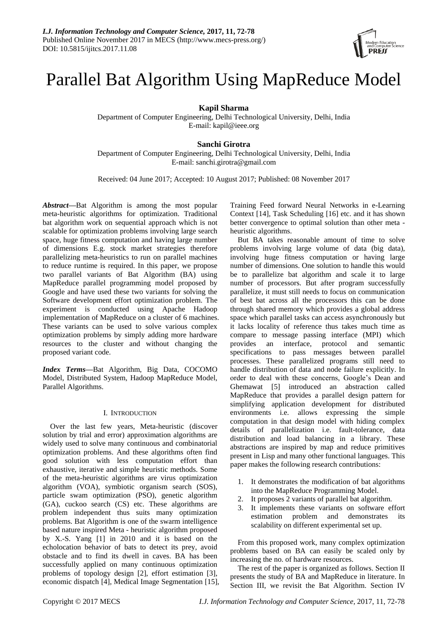

# Parallel Bat Algorithm Using MapReduce Model

**Kapil Sharma**

Department of Computer Engineering, Delhi Technological University, Delhi, India E-mail: kapil@ieee.org

## **Sanchi Girotra**

Department of Computer Engineering, Delhi Technological University, Delhi, India E-mail: sanchi.girotra@gmail.com

Received: 04 June 2017; Accepted: 10 August 2017; Published: 08 November 2017

*Abstract***—**Bat Algorithm is among the most popular meta-heuristic algorithms for optimization. Traditional bat algorithm work on sequential approach which is not scalable for optimization problems involving large search space, huge fitness computation and having large number of dimensions E.g. stock market strategies therefore parallelizing meta-heuristics to run on parallel machines to reduce runtime is required. In this paper, we propose two parallel variants of Bat Algorithm (BA) using MapReduce parallel programming model proposed by Google and have used these two variants for solving the Software development effort optimization problem. The experiment is conducted using Apache Hadoop implementation of MapReduce on a cluster of 6 machines. These variants can be used to solve various complex optimization problems by simply adding more hardware resources to the cluster and without changing the proposed variant code.

*Index Terms***—**Bat Algorithm, Big Data, COCOMO Model, Distributed System, Hadoop MapReduce Model, Parallel Algorithms.

## I. INTRODUCTION

Over the last few years, Meta-heuristic (discover solution by trial and error) approximation algorithms are widely used to solve many continuous and combinatorial optimization problems. And these algorithms often find good solution with less computation effort than exhaustive, iterative and simple heuristic methods. Some of the meta-heuristic algorithms are virus optimization algorithm (VOA), symbiotic organism search (SOS), particle swam optimization (PSO), genetic algorithm (GA), cuckoo search (CS) etc. These algorithms are problem independent thus suits many optimization problems. Bat Algorithm is one of the swarm intelligence based nature inspired Meta - heuristic algorithm proposed by X.-S. Yang [1] in 2010 and it is based on the echolocation behavior of bats to detect its prey, avoid obstacle and to find its dwell in caves. BA has been successfully applied on many continuous optimization problems of topology design [2], effort estimation [3], economic dispatch [4], Medical Image Segmentation [15], Training Feed forward Neural Networks in e-Learning Context [14], Task Scheduling [16] etc. and it has shown better convergence to optimal solution than other meta heuristic algorithms.

But BA takes reasonable amount of time to solve problems involving large volume of data (big data), involving huge fitness computation or having large number of dimensions. One solution to handle this would be to parallelize bat algorithm and scale it to large number of processors. But after program successfully parallelize, it must still needs to focus on communication of best bat across all the processors this can be done through shared memory which provides a global address space which parallel tasks can access asynchronously but it lacks locality of reference thus takes much time as compare to message passing interface (MPI) which provides an interface, protocol and semantic specifications to pass messages between parallel processes. These parallelized programs still need to handle distribution of data and node failure explicitly. In order to deal with these concerns, Google's Dean and Ghemawat [5] introduced an abstraction called MapReduce that provides a parallel design pattern for simplifying application development for distributed environments i.e. allows expressing the simple computation in that design model with hiding complex details of parallelization i.e. fault-tolerance, data distribution and load balancing in a library. These abstractions are inspired by map and reduce primitives present in Lisp and many other functional languages. This paper makes the following research contributions:

- 1. It demonstrates the modification of bat algorithms into the MapReduce Programming Model.
- 2. It proposes 2 variants of parallel bat algorithm.
- 3. It implements these variants on software effort estimation problem and demonstrates its scalability on different experimental set up.

From this proposed work, many complex optimization problems based on BA can easily be scaled only by increasing the no. of hardware resources.

The rest of the paper is organized as follows. Section II presents the study of BA and MapReduce in literature. In Section III, we revisit the Bat Algorithm. Section IV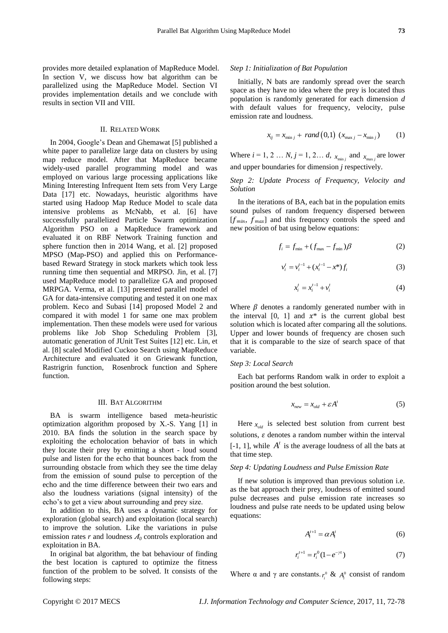provides more detailed explanation of MapReduce Model. In section V, we discuss how bat algorithm can be parallelized using the MapReduce Model. Section VI provides implementation details and we conclude with results in section VII and VIII.

## II. RELATED WORK

In 2004, Google's Dean and Ghemawat [5] published a white paper to parallelize large data on clusters by using map reduce model. After that MapReduce became widely-used parallel programming model and was employed on various large processing applications like Mining Interesting Infrequent Item sets from Very Large Data [17] etc. Nowadays, heuristic algorithms have started using Hadoop Map Reduce Model to scale data intensive problems as McNabb, et al. [6] have successfully parallelized Particle Swarm optimization Algorithm PSO on a MapReduce framework and evaluated it on RBF Network Training function and sphere function then in 2014 Wang, et al. [2] proposed MPSO (Map-PSO) and applied this on Performancebased Reward Strategy in stock markets which took less running time then sequential and MRPSO. Jin, et al. [7] used MapReduce model to parallelize GA and proposed MRPGA. Verma, et al. [13] presented parallel model of GA for data-intensive computing and tested it on one max problem. Keco and Subasi [14] proposed Model 2 and compared it with model 1 for same one max problem implementation. Then these models were used for various problems like Job Shop Scheduling Problem [3], automatic generation of JUnit Test Suites [12] etc. Lin, et al. [8] scaled Modified Cuckoo Search using MapReduce Architecture and evaluated it on Griewank function, Rastrigrin function, Rosenbrock function and Sphere function.

#### III. BAT ALGORITHM

BA is swarm intelligence based meta-heuristic optimization algorithm proposed by X.-S. Yang [1] in 2010. BA finds the solution in the search space by exploiting the echolocation behavior of bats in which they locate their prey by emitting a short - loud sound pulse and listen for the echo that bounces back from the surrounding obstacle from which they see the time delay from the emission of sound pulse to perception of the echo and the time difference between their two ears and also the loudness variations (signal intensity) of the echo's to get a view about surrounding and prey size.

In addition to this, BA uses a dynamic strategy for exploration (global search) and exploitation (local search) to improve the solution. Like the variations in pulse emission rates  $r$  and loudness  $A_0$  controls exploration and exploitation in BA.

In original bat algorithm, the bat behaviour of finding the best location is captured to optimize the fitness function of the problem to be solved. It consists of the following steps:

#### *Step 1: Initialization of Bat Population*

Initially, N bats are randomly spread over the search space as they have no idea where the prey is located thus population is randomly generated for each dimension *d* with default values for frequency, velocity, pulse emission rate and loudness.

$$
x_{ij} = x_{\min j} + rand(0,1) (x_{\max j} - x_{\min j})
$$
 (1)

Where  $i = 1, 2, ..., N$ ,  $j = 1, 2, ..., d$ ,  $x_{\min j}$  and  $x_{\max j}$  are lower and upper boundaries for dimension *j* respectively.

## *Step 2: Update Process of Frequency, Velocity and Solution*

In the iterations of BA, each bat in the population emits sound pulses of random frequency dispersed between  $[f_{min}, f_{max}]$  and this frequency controls the speed and new position of bat using below equations:

$$
f_i = f_{\min} + (f_{\max} - f_{\min})\beta
$$
 (2)

$$
v_i^t = v_i^{t-1} + (x_i^{t-1} - x^*) f_i
$$
 (3)

$$
x_i^t = x_i^{t-1} + v_i^t \tag{4}
$$

Where  $\beta$  denotes a randomly generated number with in the interval [0, 1] and  $x^*$  is the current global best solution which is located after comparing all the solutions. Upper and lower bounds of frequency are chosen such that it is comparable to the size of search space of that variable.

#### *Step 3: Local Search*

Each bat performs Random walk in order to exploit a position around the best solution.

$$
x_{new} = x_{old} + \varepsilon A^t \tag{5}
$$

Here  $x_{old}$  is selected best solution from current best solutions,  $\varepsilon$  denotes a random number within the interval  $[-1, 1]$ , while  $A<sup>t</sup>$  is the average loudness of all the bats at that time step.

#### *Step 4: Updating Loudness and Pulse Emission Rate*

If new solution is improved than previous solution i.e. as the bat approach their prey, loudness of emitted sound pulse decreases and pulse emission rate increases so loudness and pulse rate needs to be updated using below equations:

$$
A_i^{t+1} = \alpha A_i^t \tag{6}
$$

$$
r_i^{t+1} = r_i^0 (1 - e^{-\gamma t})
$$
 (7)

Where  $\alpha$  and  $\gamma$  are constants.  $r_i^0 \& A_i^0$  consist of random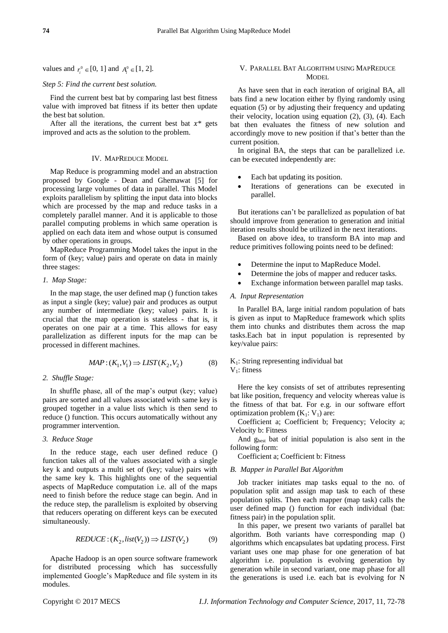values and  $r_i^0 \in [0, 1]$  and  $A_i^0 \in [1, 2]$ .

## *Step 5: Find the current best solution.*

Find the current best bat by comparing last best fitness value with improved bat fitness if its better then update the best bat solution.

After all the iterations, the current best bat  $x^*$  gets improved and acts as the solution to the problem.

#### IV. MAPREDUCE MODEL

Map Reduce is programming model and an abstraction proposed by Google - Dean and Ghemawat [5] for processing large volumes of data in parallel. This Model exploits parallelism by splitting the input data into blocks which are processed by the map and reduce tasks in a completely parallel manner. And it is applicable to those parallel computing problems in which same operation is applied on each data item and whose output is consumed by other operations in groups.

MapReduce Programming Model takes the input in the form of (key; value) pairs and operate on data in mainly three stages:

#### *1. Map Stage:*

In the map stage, the user defined map () function takes as input a single (key; value) pair and produces as output any number of intermediate (key; value) pairs. It is crucial that the map operation is stateless - that is, it operates on one pair at a time. This allows for easy parallelization as different inputs for the map can be processed in different machines.

$$
MAP: (K_1, V_1) \Rightarrow LIST(K_2, V_2)
$$
 (8)

#### *2. Shuffle Stage:*

In shuffle phase, all of the map's output (key; value) pairs are sorted and all values associated with same key is grouped together in a value lists which is then send to reduce () function. This occurs automatically without any programmer intervention.

## *3. Reduce Stage*

In the reduce stage, each user defined reduce () function takes all of the values associated with a single key k and outputs a multi set of (key; value) pairs with the same key k. This highlights one of the sequential aspects of MapReduce computation i.e. all of the maps need to finish before the reduce stage can begin. And in the reduce step, the parallelism is exploited by observing that reducers operating on different keys can be executed simultaneously.

$$
REDUCE : (K_2, list(V_2)) \Rightarrow LIST(V_2) \tag{9}
$$

Apache Hadoop is an open source software framework for distributed processing which has successfully implemented Google's MapReduce and file system in its modules.

## V. PARALLEL BAT ALGORITHM USING MAPREDUCE **MODEL**

As have seen that in each iteration of original BA, all bats find a new location either by flying randomly using equation (5) or by adjusting their frequency and updating their velocity, location using equation (2), (3), (4). Each bat then evaluates the fitness of new solution and accordingly move to new position if that's better than the current position.

In original BA, the steps that can be parallelized i.e. can be executed independently are:

- Each bat updating its position.
- Iterations of generations can be executed in parallel.

But iterations can't be parallelized as population of bat should improve from generation to generation and initial iteration results should be utilized in the next iterations.

Based on above idea, to transform BA into map and reduce primitives following points need to be defined:

- Determine the input to MapReduce Model.
- Determine the jobs of mapper and reducer tasks.
- Exchange information between parallel map tasks.

## *A. Input Representation*

In Parallel BA, large initial random population of bats is given as input to MapReduce framework which splits them into chunks and distributes them across the map tasks.Each bat in input population is represented by key/value pairs:

## $K<sub>1</sub>$ : String representing individual bat



Here the key consists of set of attributes representing bat like position, frequency and velocity whereas value is the fitness of that bat. For e.g. in our software effort optimization problem  $(K_1: V_1)$  are:

Coefficient a; Coefficient b; Frequency; Velocity a; Velocity b: Fitness

And g<sub>best</sub> bat of initial population is also sent in the following form:

Coefficient a; Coefficient b: Fitness

#### *B. Mapper in Parallel Bat Algorithm*

Job tracker initiates map tasks equal to the no. of population split and assign map task to each of these population splits. Then each mapper (map task) calls the user defined map () function for each individual (bat: fitness pair) in the population split.

In this paper, we present two variants of parallel bat algorithm. Both variants have corresponding map () algorithms which encapsulates bat updating process. First variant uses one map phase for one generation of bat algorithm i.e. population is evolving generation by generation while in second variant, one map phase for all the generations is used i.e. each bat is evolving for N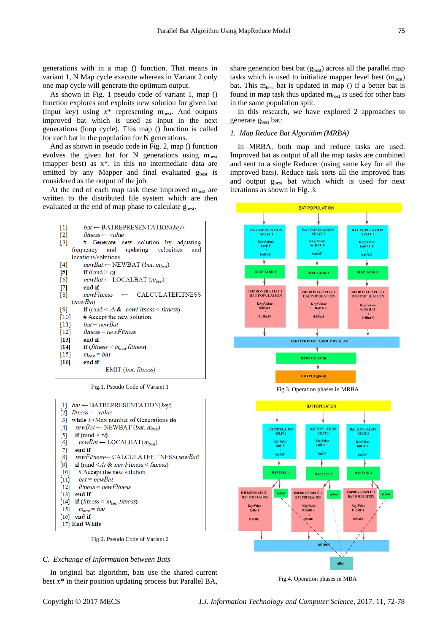generations with in a map () function. That means in variant 1, N Map cycle execute whereas in Variant 2 only one map cycle will generate the optimum output.

As shown in Fig. 1 pseudo code of variant 1, map () function explores and exploits new solution for given bat (input key) using  $x^*$  representing  $m_{best}$ . And outputs improved bat which is used as input in the next generations (loop cycle). This map () function is called for each bat in the population for N generations.

And as shown in pseudo code in Fig. 2, map () function evolves the given bat for N generations using  $m<sub>best</sub>$ (mapper best) as x\*. In this no intermediate data are emitted by any Mapper and final evaluated  $g_{best}$  is considered as the output of the job.

At the end of each map task these improved  $m<sub>best</sub>$  are written to the distributed file system which are then evaluated at the end of map phase to calculate g<sub>hest</sub>.



Fig.1. Pseudo Code of Variant 1



Fig.2. Pseudo Code of Variant 2

#### *C. Exchange of Information between Bats*

In original bat algorithm, bats use the shared current best  $x^*$  in their position updating process but Parallel BA, share generation best bat (g<sub>best</sub>) across all the parallel map tasks which is used to initialize mapper level best  $(m_{best})$ bat. This  $m_{best}$  bat is updated in map () if a better bat is found in map task thus updated  $m_{best}$  is used for other bats in the same population split.

In this research, we have explored 2 approaches to generate g<sub>best</sub> bat:

## *1. Map Reduce Bat Algorithm (MRBA)*

In MRBA, both map and reduce tasks are used. Improved bat as output of all the map tasks are combined and sent to a single Reducer (using same key for all the improved bats). Reduce task sorts all the improved bats and output g<sub>best</sub> bat which which is used for next iterations as shown in Fig. 3.





Fig.4. Operation phases in MBA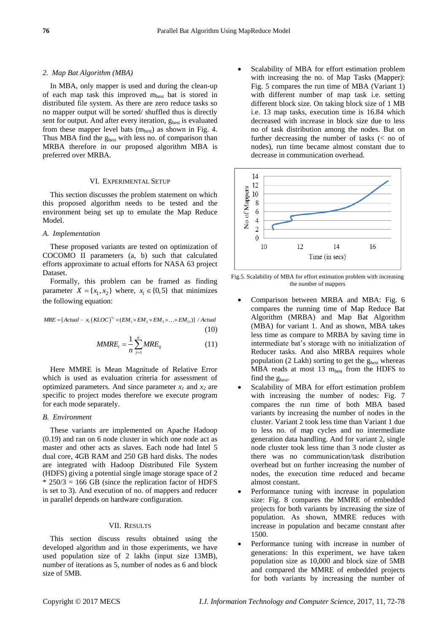## *2. Map Bat Algorithm (MBA)*

In MBA, only mapper is used and during the clean-up of each map task this improved  $m_{best}$  bat is stored in distributed file system. As there are zero reduce tasks so no mapper output will be sorted/ shuffled thus is directly sent for output. And after every iteration,  $g_{best}$  is evaluated from these mapper level bats  $(m_{best})$  as shown in Fig. 4. Thus MBA find the g<sub>best</sub> with less no. of comparison than MRBA therefore in our proposed algorithm MBA is preferred over MRBA.

## VI. EXPERIMENTAL SETUP

This section discusses the problem statement on which this proposed algorithm needs to be tested and the environment being set up to emulate the Map Reduce Model.

## *A. Implementation*

These proposed variants are tested on optimization of COCOMO II parameters (a, b) such that calculated efforts approximate to actual efforts for NASA 63 project Dataset.

Formally, this problem can be framed as finding parameter  $X = \{x_1, x_2\}$  where,  $x_i \in \{0, 5\}$  that minimizes the following equation:

 $(KLOC)^{x_2}$  $MRE = [Actual - x_1 (KLOC)^{x_2} \times (EM_1 \times EM_2 \times EM_3 \times ... \times EM_{15})] / Actual$ (10)

$$
MMRE_i = \frac{1}{n} \sum_{j=1}^{n} MRE_{ij}
$$
 (11)

Here MMRE is Mean Magnitude of Relative Error which is used as evaluation criteria for assessment of optimized parameters. And since parameter  $x_1$  and  $x_2$  are specific to project modes therefore we execute program for each mode separately.

#### *B. Environment*

These variants are implemented on Apache Hadoop (0.19) and ran on 6 node cluster in which one node act as master and other acts as slaves. Each node had Intel 5 dual core, 4GB RAM and 250 GB hard disks. The nodes are integrated with Hadoop Distributed File System (HDFS) giving a potential single image storage space of 2  $*$  250/3 = 166 GB (since the replication factor of HDFS is set to 3). And execution of no. of mappers and reducer in parallel depends on hardware configuration.

## VII. RESULTS

This section discuss results obtained using the developed algorithm and in those experiments, we have used population size of 2 lakhs (input size 13MB), number of iterations as 5, number of nodes as 6 and block size of 5MB.

 Scalability of MBA for effort estimation problem with increasing the no. of Map Tasks (Mapper): Fig. 5 compares the run time of MBA (Variant 1) with different number of map task i.e. setting different block size. On taking block size of 1 MB i.e. 13 map tasks, execution time is 16.84 which decreased with increase in block size due to less no of task distribution among the nodes. But on further decreasing the number of tasks (< no of nodes), run time became almost constant due to decrease in communication overhead.



Fig.5. Scalability of MBA for effort estimation problem with increasing the number of mappers

- Comparison between MRBA and MBA: Fig. 6 compares the running time of Map Reduce Bat Algorithm (MRBA) and Map Bat Algorithm (MBA) for variant 1. And as shown, MBA takes less time as compare to MRBA by saving time in intermediate bat's storage with no initialization of Reducer tasks. And also MRBA requires whole population (2 Lakh) sorting to get the  $g_{best}$  whereas MBA reads at most 13  $m_{best}$  from the HDFS to find the gbest.
- Scalability of MBA for effort estimation problem with increasing the number of nodes: Fig. 7 compares the run time of both MBA based variants by increasing the number of nodes in the cluster. Variant 2 took less time than Variant 1 due to less no. of map cycles and no intermediate generation data handling. And for variant 2, single node cluster took less time than 3 node cluster as there was no communication/task distribution overhead but on further increasing the number of nodes, the execution time reduced and became almost constant.
- Performance tuning with increase in population size: Fig. 8 compares the MMRE of embedded projects for both variants by increasing the size of population. As shown, MMRE reduces with increase in population and became constant after 1500.
- Performance tuning with increase in number of generations: In this experiment, we have taken population size as 10,000 and block size of 5MB and compared the MMRE of embedded projects for both variants by increasing the number of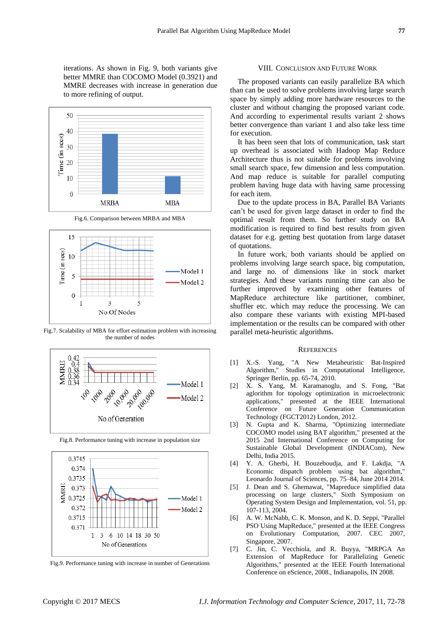iterations. As shown in Fig. 9, both variants give better MMRE than COCOMO Model (0.3921) and MMRE decreases with increase in generation due to more refining of output.



Fig.6. Comparison between MRBA and MBA



Fig.7. Scalability of MBA for effort estimation problem with increasing the number of nodes



Fig.8. Performance tuning with increase in population size



Fig.9. Performance tuning with increase in number of Generations

#### VIII. CONCLUSION AND FUTURE WORK

The proposed variants can easily parallelize BA which than can be used to solve problems involving large search space by simply adding more hardware resources to the cluster and without changing the proposed variant code. And according to experimental results variant 2 shows better convergence than variant 1 and also take less time for execution.

It has been seen that lots of communication, task start up overhead is associated with Hadoop Map Reduce Architecture thus is not suitable for problems involving small search space, few dimension and less computation. And map reduce is suitable for parallel computing problem having huge data with having same processing for each item.

Due to the update process in BA, Parallel BA Variants can't be used for given large dataset in order to find the optimal result from them. So further study on BA modification is required to find best results from given dataset for e.g. getting best quotation from large dataset of quotations.

In future work, both variants should be applied on problems involving large search space, big computation, and large no. of dimensions like in stock market strategies. And these variants running time can also be further improved by examining other features of MapReduce architecture like partitioner, combiner, shuffler etc. which may reduce the processing. We can also compare these variants with existing MPI-based implementation or the results can be compared with other parallel meta-heuristic algorithms.

## **REFERENCES**

- [1] X.-S. Yang, "A New Metaheuristic Bat-Inspired Algorithm," Studies in Computational Intelligence, Springer Berlin, pp. 65-74, 2010.
- [2] X. S. Yang, M. Karamanoglu, and S. Fong, "Bat aglorithm for topology optimization in microelectronic applications," presented at the IEEE International Conference on Future Generation Communication Technology (FGCT2012) London, 2012.
- [3] N. Gupta and K. Sharma, "Optimizing intermediate COCOMO model using BAT algorithm," presented at the 2015 2nd International Conference on Computing for Sustainable Global Development (INDIACom), New Delhi, India 2015.
- [4] Y. A. Gherbi, H. Bouzeboudja, and F. Lakdja, "A Economic dispatch problem using bat algorithm," Leonardo Journal of Sciences, pp. 75–84, June 2014 2014.
- [5] J. Dean and S. Ghemawat, "Mapreduce simplified data processing on large clusters," Sixth Symposium on Operating System Design and Implementation, vol. 51, pp. 107-113, 2004.
- [6] A. W. McNabb, C. K. Monson, and K. D. Seppi, "Parallel PSO Using MapReduce," presented at the IEEE Congress on Evolutionary Computation, 2007. CEC 2007, Singapore, 2007.
- [7] C. Jin, C. Vecchiola, and R. Buyya, "MRPGA An Extension of MapReduce for Parallelizing Genetic Algorithms," presented at the IEEE Fourth International Conference on eScience, 2008., Indianapolis, IN 2008.